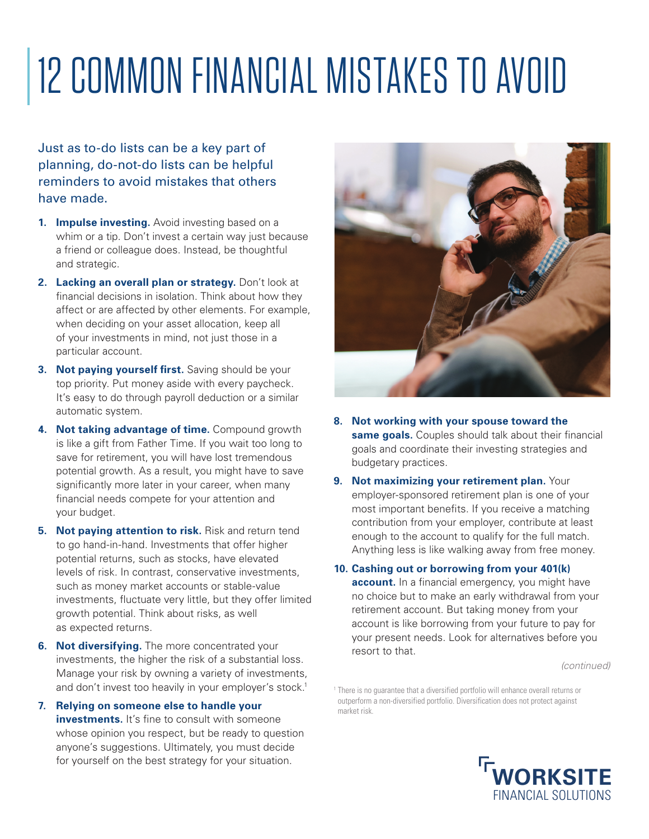## 12 COMMON FINANCIAL MISTAKES TO AVOID

Just as to-do lists can be a key part of planning, do-not-do lists can be helpful reminders to avoid mistakes that others have made.

- **1. Impulse investing.** Avoid investing based on a whim or a tip. Don't invest a certain way just because a friend or colleague does. Instead, be thoughtful and strategic.
- **2. Lacking an overall plan or strategy.** Don't look at financial decisions in isolation. Think about how they affect or are affected by other elements. For example, when deciding on your asset allocation, keep all of your investments in mind, not just those in a particular account.
- **3. Not paying yourself first.** Saving should be your top priority. Put money aside with every paycheck. It's easy to do through payroll deduction or a similar automatic system.
- **4. Not taking advantage of time.** Compound growth is like a gift from Father Time. If you wait too long to save for retirement, you will have lost tremendous potential growth. As a result, you might have to save significantly more later in your career, when many financial needs compete for your attention and your budget.
- **5. Not paying attention to risk.** Risk and return tend to go hand-in-hand. Investments that offer higher potential returns, such as stocks, have elevated levels of risk. In contrast, conservative investments, such as money market accounts or stable-value investments, fluctuate very little, but they offer limited growth potential. Think about risks, as well as expected returns.
- **6. Not diversifying.** The more concentrated your investments, the higher the risk of a substantial loss. Manage your risk by owning a variety of investments, and don't invest too heavily in your employer's stock.<sup>1</sup>
- **7. Relying on someone else to handle your investments.** It's fine to consult with someone whose opinion you respect, but be ready to question anyone's suggestions. Ultimately, you must decide for yourself on the best strategy for your situation.



- **8. Not working with your spouse toward the same goals.** Couples should talk about their financial goals and coordinate their investing strategies and budgetary practices.
- **9. Not maximizing your retirement plan.** Your employer-sponsored retirement plan is one of your most important benefits. If you receive a matching contribution from your employer, contribute at least enough to the account to qualify for the full match. Anything less is like walking away from free money.
- **10. Cashing out or borrowing from your 401(k) account.** In a financial emergency, you might have no choice but to make an early withdrawal from your retirement account. But taking money from your account is like borrowing from your future to pay for your present needs. Look for alternatives before you resort to that.

*(continued)*

<sup>1</sup> There is no quarantee that a diversified portfolio will enhance overall returns or outperform a non-diversified portfolio. Diversification does not protect against market risk.